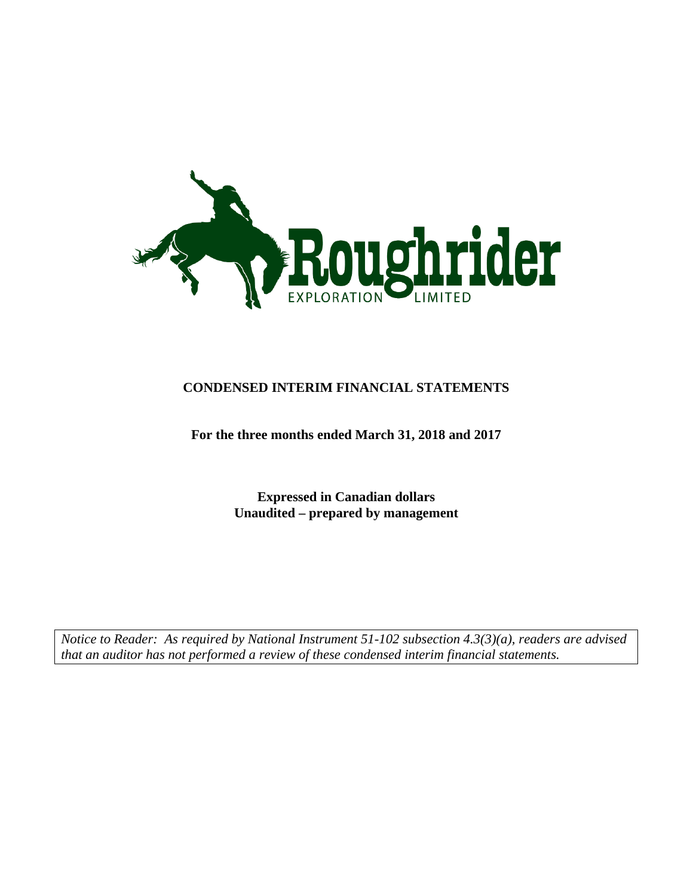

## **CONDENSED INTERIM FINANCIAL STATEMENTS**

## **For the three months ended March 31, 2018 and 2017**

**Expressed in Canadian dollars Unaudited – prepared by management**

*Notice to Reader: As required by National Instrument 51-102 subsection 4.3(3)(a), readers are advised that an auditor has not performed a review of these condensed interim financial statements.*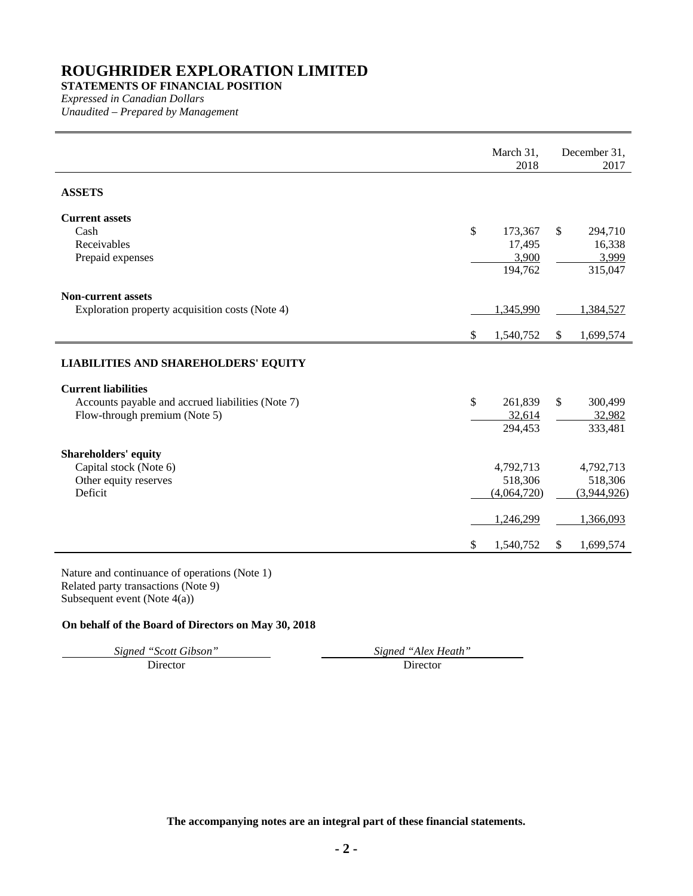## **STATEMENTS OF FINANCIAL POSITION**

*Expressed in Canadian Dollars Unaudited – Prepared by Management*

|                                                                                                                         | March 31,<br>2018                                                   | December 31,<br>2017                                                |
|-------------------------------------------------------------------------------------------------------------------------|---------------------------------------------------------------------|---------------------------------------------------------------------|
| <b>ASSETS</b>                                                                                                           |                                                                     |                                                                     |
| <b>Current assets</b><br>Cash<br>Receivables<br>Prepaid expenses                                                        | \$<br>173,367<br>17,495<br>3,900                                    | \$<br>294,710<br>16,338<br>3,999                                    |
|                                                                                                                         | 194,762                                                             | 315,047                                                             |
| <b>Non-current assets</b><br>Exploration property acquisition costs (Note 4)                                            | 1,345,990                                                           | 1,384,527                                                           |
|                                                                                                                         | \$<br>1,540,752                                                     | \$<br>1,699,574                                                     |
| <b>LIABILITIES AND SHAREHOLDERS' EQUITY</b>                                                                             |                                                                     |                                                                     |
| <b>Current liabilities</b><br>Accounts payable and accrued liabilities (Note 7)<br>Flow-through premium (Note 5)        | \$<br>261,839<br>32,614<br>294,453                                  | \$<br>300,499<br>32,982<br>333,481                                  |
| <b>Shareholders' equity</b><br>Capital stock (Note 6)<br>Other equity reserves<br>Deficit                               | \$<br>4,792,713<br>518,306<br>(4,064,720)<br>1,246,299<br>1,540,752 | \$<br>4,792,713<br>518,306<br>(3,944,926)<br>1,366,093<br>1,699,574 |
| Nature and continuance of operations (Note 1)<br>Related party transactions (Note 9)<br>Subsequent event (Note $4(a)$ ) |                                                                     |                                                                     |

## **On behalf of the Board of Directors on May 30, 2018**

*Signed "Scott Gibson" Signed "Alex Heath"*

Director Director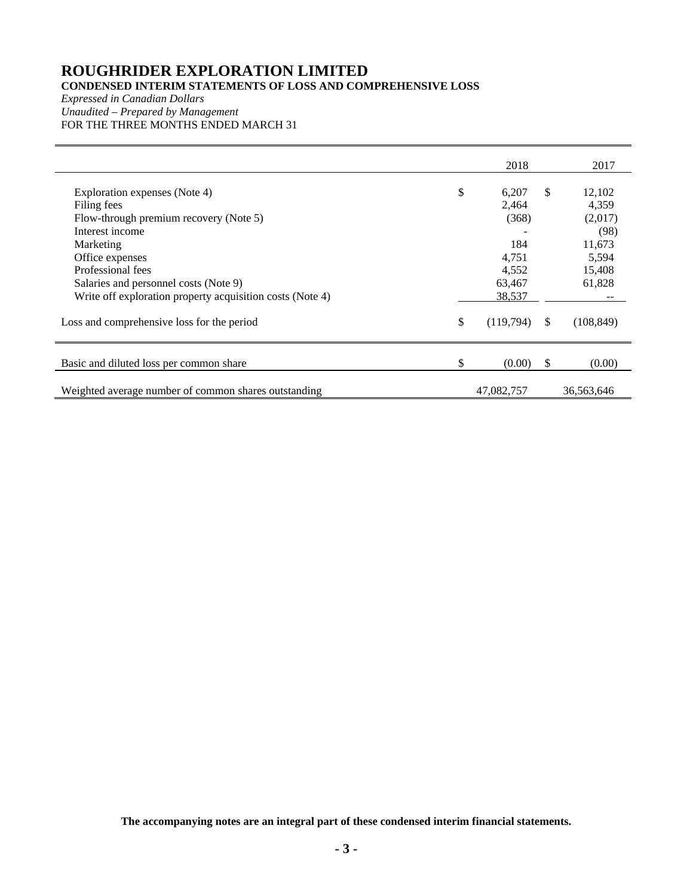## **CONDENSED INTERIM STATEMENTS OF LOSS AND COMPREHENSIVE LOSS**

*Expressed in Canadian Dollars Unaudited – Prepared by Management* FOR THE THREE MONTHS ENDED MARCH 31

|                                                           | 2018            |               | 2017            |
|-----------------------------------------------------------|-----------------|---------------|-----------------|
| Exploration expenses (Note 4)                             | \$<br>6,207     | $\mathbb{S}$  | 12,102          |
| Filing fees                                               | 2,464           |               | 4,359           |
| Flow-through premium recovery (Note 5)<br>Interest income | (368)           |               | (2,017)<br>(98) |
| Marketing                                                 | 184             |               | 11,673          |
| Office expenses                                           | 4,751           |               | 5,594           |
| Professional fees                                         | 4,552           |               | 15,408          |
| Salaries and personnel costs (Note 9)                     | 63,467          |               | 61,828          |
| Write off exploration property acquisition costs (Note 4) | 38,537          |               |                 |
| Loss and comprehensive loss for the period                | \$<br>(119,794) | <sup>\$</sup> | (108, 849)      |
| Basic and diluted loss per common share                   | \$<br>(0.00)    | <sup>S</sup>  | (0.00)          |
| Weighted average number of common shares outstanding      | 47,082,757      |               | 36,563,646      |

**The accompanying notes are an integral part of these condensed interim financial statements.**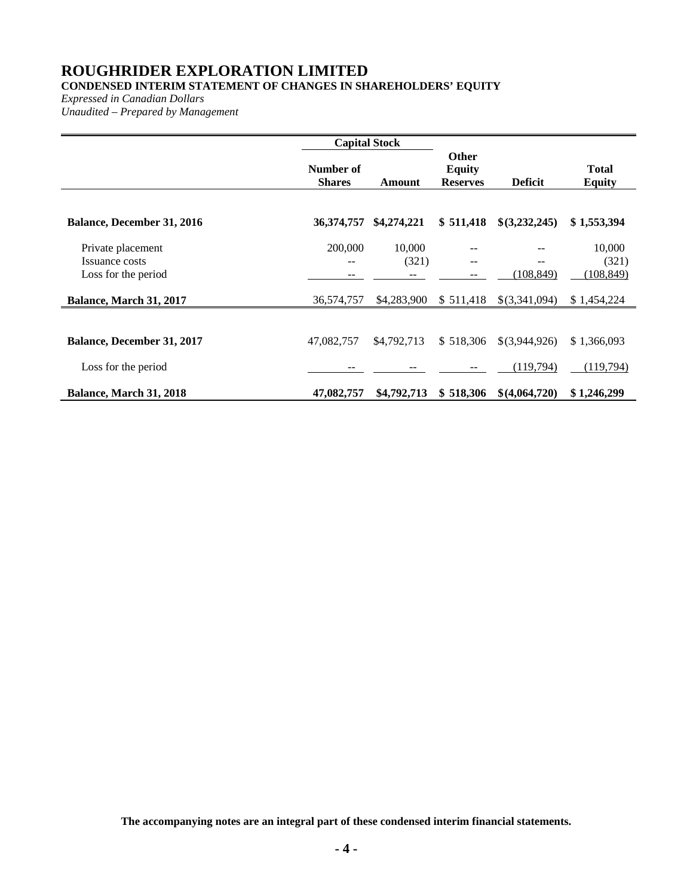## **CONDENSED INTERIM STATEMENT OF CHANGES IN SHAREHOLDERS' EQUITY**

*Expressed in Canadian Dollars*

*Unaudited – Prepared by Management*

|                                                            | <b>Capital Stock</b>       |                 |                                                  |                  |                               |
|------------------------------------------------------------|----------------------------|-----------------|--------------------------------------------------|------------------|-------------------------------|
|                                                            | Number of<br><b>Shares</b> | Amount          | <b>Other</b><br><b>Equity</b><br><b>Reserves</b> | <b>Deficit</b>   | <b>Total</b><br><b>Equity</b> |
| <b>Balance, December 31, 2016</b>                          | 36,374,757                 | \$4,274,221     | \$511,418                                        | \$(3,232,245)    | \$1,553,394                   |
| Private placement<br>Issuance costs<br>Loss for the period | 200,000                    | 10,000<br>(321) | --                                               | --<br>(108, 849) | 10,000<br>(321)<br>(108, 849) |
| Balance, March 31, 2017                                    | 36,574,757                 | \$4,283,900     | \$511,418                                        | \$(3,341,094)    | \$1,454,224                   |
| <b>Balance, December 31, 2017</b>                          | 47,082,757                 | \$4,792,713     | \$518,306                                        | \$(3,944,926)    | \$1,366,093                   |
| Loss for the period                                        |                            |                 |                                                  | (119,794)        | <u>(119,794)</u>              |
| Balance, March 31, 2018                                    | 47,082,757                 | \$4,792,713     | \$518,306                                        | \$(4,064,720)    | \$1,246,299                   |

**The accompanying notes are an integral part of these condensed interim financial statements.**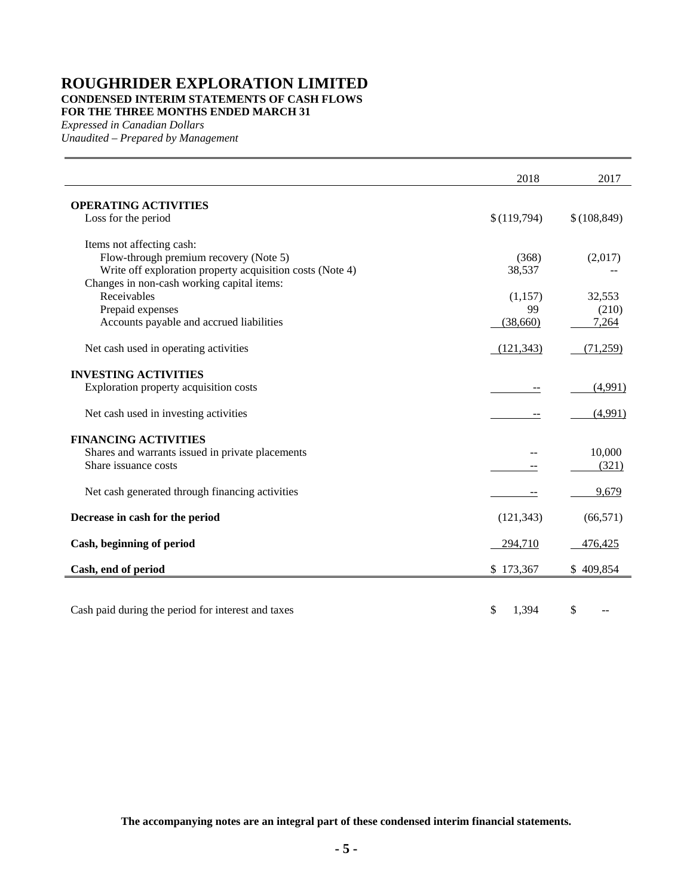## **ROUGHRIDER EXPLORATION LIMITED CONDENSED INTERIM STATEMENTS OF CASH FLOWS FOR THE THREE MONTHS ENDED MARCH 31**

*Expressed in Canadian Dollars*

*Unaudited – Prepared by Management*

|                                                           | 2018        | 2017         |
|-----------------------------------------------------------|-------------|--------------|
| <b>OPERATING ACTIVITIES</b>                               |             |              |
| Loss for the period                                       | \$(119,794) | \$(108, 849) |
| Items not affecting cash:                                 |             |              |
| Flow-through premium recovery (Note 5)                    | (368)       | (2,017)      |
| Write off exploration property acquisition costs (Note 4) | 38,537      |              |
| Changes in non-cash working capital items:                |             |              |
| Receivables                                               | (1,157)     | 32,553       |
| Prepaid expenses                                          | 99          | (210)        |
| Accounts payable and accrued liabilities                  | (38,660)    | 7,264        |
| Net cash used in operating activities                     | (121, 343)  | (71,259)     |
| <b>INVESTING ACTIVITIES</b>                               |             |              |
| Exploration property acquisition costs                    |             | (4,991)      |
| Net cash used in investing activities                     |             | (4,991)      |
| <b>FINANCING ACTIVITIES</b>                               |             |              |
| Shares and warrants issued in private placements          |             | 10,000       |
| Share issuance costs                                      |             | (321)        |
| Net cash generated through financing activities           |             | 9,679        |
| Decrease in cash for the period                           | (121, 343)  | (66, 571)    |
| Cash, beginning of period                                 | 294,710     | 476,425      |
| Cash, end of period                                       | \$173,367   | \$409,854    |
|                                                           |             |              |
| Cash paid during the period for interest and taxes        | \$<br>1,394 | \$           |

**The accompanying notes are an integral part of these condensed interim financial statements.**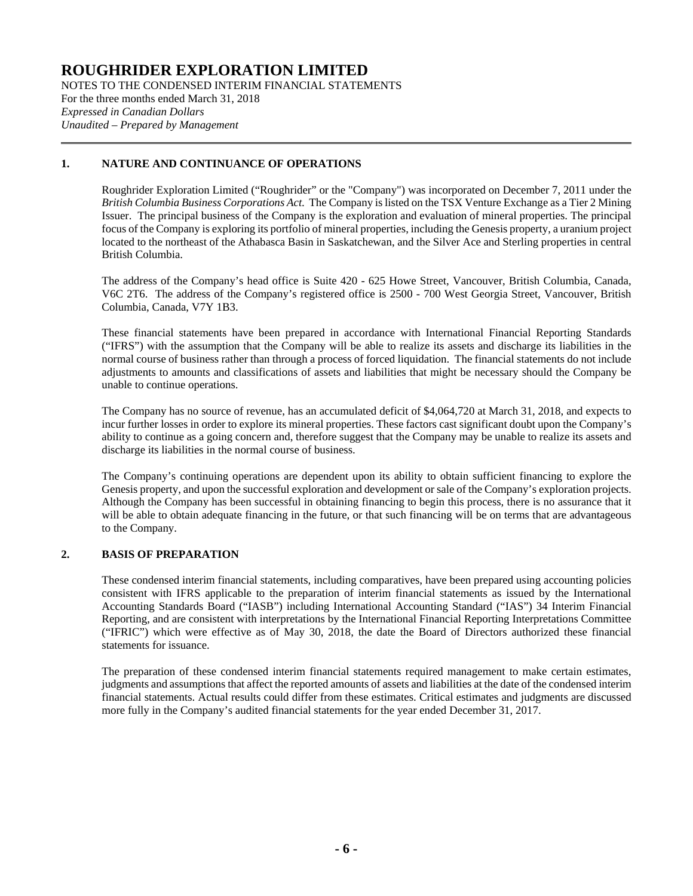NOTES TO THE CONDENSED INTERIM FINANCIAL STATEMENTS For the three months ended March 31, 2018 *Expressed in Canadian Dollars Unaudited – Prepared by Management*

## **1. NATURE AND CONTINUANCE OF OPERATIONS**

Roughrider Exploration Limited ("Roughrider" or the "Company") was incorporated on December 7, 2011 under the *British Columbia Business Corporations Act*. The Company is listed on the TSX Venture Exchange as a Tier 2 Mining Issuer. The principal business of the Company is the exploration and evaluation of mineral properties. The principal focus of the Company is exploring its portfolio of mineral properties, including the Genesis property, a uranium project located to the northeast of the Athabasca Basin in Saskatchewan, and the Silver Ace and Sterling properties in central British Columbia.

The address of the Company's head office is Suite 420 - 625 Howe Street, Vancouver, British Columbia, Canada, V6C 2T6. The address of the Company's registered office is 2500 - 700 West Georgia Street, Vancouver, British Columbia, Canada, V7Y 1B3.

These financial statements have been prepared in accordance with International Financial Reporting Standards ("IFRS") with the assumption that the Company will be able to realize its assets and discharge its liabilities in the normal course of business rather than through a process of forced liquidation. The financial statements do not include adjustments to amounts and classifications of assets and liabilities that might be necessary should the Company be unable to continue operations.

The Company has no source of revenue, has an accumulated deficit of \$4,064,720 at March 31, 2018, and expects to incur further losses in order to explore its mineral properties. These factors cast significant doubt upon the Company's ability to continue as a going concern and, therefore suggest that the Company may be unable to realize its assets and discharge its liabilities in the normal course of business.

The Company's continuing operations are dependent upon its ability to obtain sufficient financing to explore the Genesis property, and upon the successful exploration and development or sale of the Company's exploration projects. Although the Company has been successful in obtaining financing to begin this process, there is no assurance that it will be able to obtain adequate financing in the future, or that such financing will be on terms that are advantageous to the Company.

## **2. BASIS OF PREPARATION**

These condensed interim financial statements, including comparatives, have been prepared using accounting policies consistent with IFRS applicable to the preparation of interim financial statements as issued by the International Accounting Standards Board ("IASB") including International Accounting Standard ("IAS") 34 Interim Financial Reporting, and are consistent with interpretations by the International Financial Reporting Interpretations Committee ("IFRIC") which were effective as of May 30, 2018, the date the Board of Directors authorized these financial statements for issuance.

The preparation of these condensed interim financial statements required management to make certain estimates, judgments and assumptions that affect the reported amounts of assets and liabilities at the date of the condensed interim financial statements. Actual results could differ from these estimates. Critical estimates and judgments are discussed more fully in the Company's audited financial statements for the year ended December 31, 2017.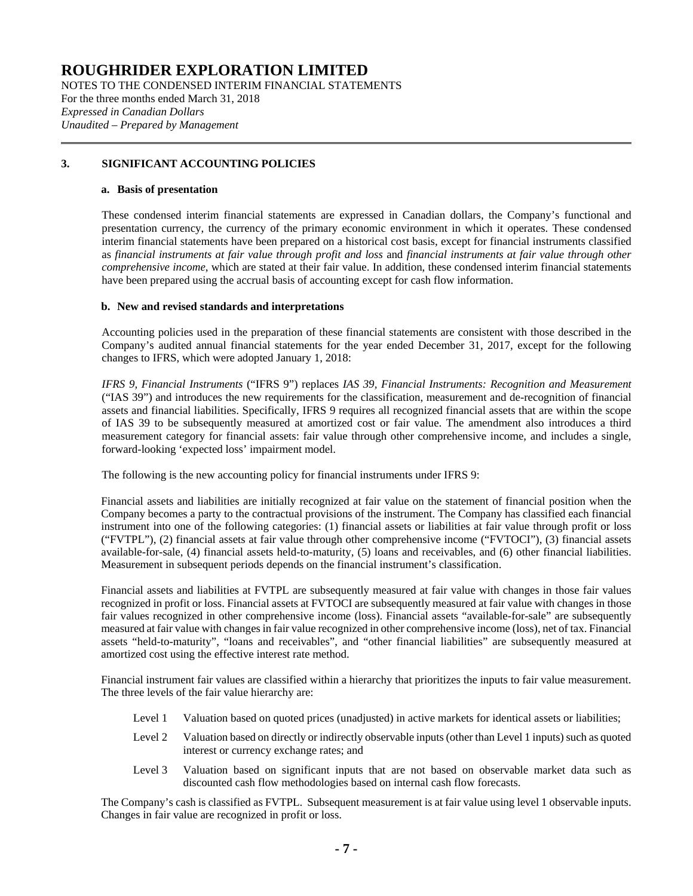NOTES TO THE CONDENSED INTERIM FINANCIAL STATEMENTS For the three months ended March 31, 2018 *Expressed in Canadian Dollars Unaudited – Prepared by Management*

## **3. SIGNIFICANT ACCOUNTING POLICIES**

### **a. Basis of presentation**

These condensed interim financial statements are expressed in Canadian dollars, the Company's functional and presentation currency, the currency of the primary economic environment in which it operates. These condensed interim financial statements have been prepared on a historical cost basis, except for financial instruments classified as *financial instruments at fair value through profit and loss* and *financial instruments at fair value through other comprehensive income*, which are stated at their fair value. In addition, these condensed interim financial statements have been prepared using the accrual basis of accounting except for cash flow information.

#### **b. New and revised standards and interpretations**

Accounting policies used in the preparation of these financial statements are consistent with those described in the Company's audited annual financial statements for the year ended December 31, 2017, except for the following changes to IFRS, which were adopted January 1, 2018:

*IFRS 9, Financial Instruments* ("IFRS 9") replaces *IAS 39, Financial Instruments: Recognition and Measurement* ("IAS 39") and introduces the new requirements for the classification, measurement and de-recognition of financial assets and financial liabilities. Specifically, IFRS 9 requires all recognized financial assets that are within the scope of IAS 39 to be subsequently measured at amortized cost or fair value. The amendment also introduces a third measurement category for financial assets: fair value through other comprehensive income, and includes a single, forward-looking 'expected loss' impairment model.

The following is the new accounting policy for financial instruments under IFRS 9:

Financial assets and liabilities are initially recognized at fair value on the statement of financial position when the Company becomes a party to the contractual provisions of the instrument. The Company has classified each financial instrument into one of the following categories: (1) financial assets or liabilities at fair value through profit or loss ("FVTPL"), (2) financial assets at fair value through other comprehensive income ("FVTOCI"), (3) financial assets available-for-sale, (4) financial assets held-to-maturity, (5) loans and receivables, and (6) other financial liabilities. Measurement in subsequent periods depends on the financial instrument's classification.

Financial assets and liabilities at FVTPL are subsequently measured at fair value with changes in those fair values recognized in profit or loss. Financial assets at FVTOCI are subsequently measured at fair value with changes in those fair values recognized in other comprehensive income (loss). Financial assets "available-for-sale" are subsequently measured at fair value with changes in fair value recognized in other comprehensive income (loss), net of tax. Financial assets "held-to-maturity", "loans and receivables", and "other financial liabilities" are subsequently measured at amortized cost using the effective interest rate method.

Financial instrument fair values are classified within a hierarchy that prioritizes the inputs to fair value measurement. The three levels of the fair value hierarchy are:

- Level 1 Valuation based on quoted prices (unadjusted) in active markets for identical assets or liabilities;
- Level 2 Valuation based on directly or indirectly observable inputs (other than Level 1 inputs) such as quoted interest or currency exchange rates; and
- Level 3 Valuation based on significant inputs that are not based on observable market data such as discounted cash flow methodologies based on internal cash flow forecasts.

The Company's cash is classified as FVTPL. Subsequent measurement is at fair value using level 1 observable inputs. Changes in fair value are recognized in profit or loss.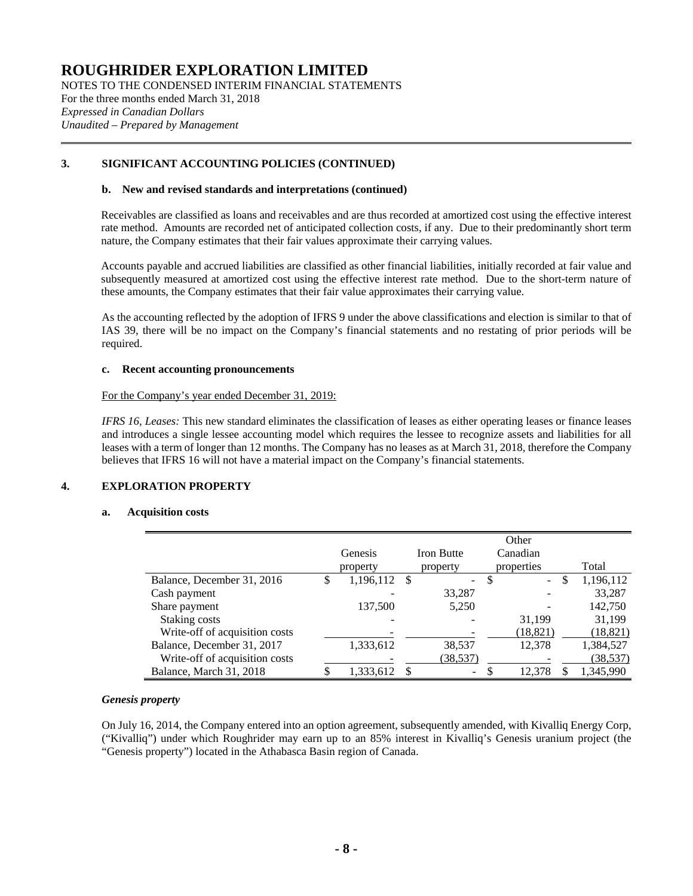NOTES TO THE CONDENSED INTERIM FINANCIAL STATEMENTS For the three months ended March 31, 2018 *Expressed in Canadian Dollars Unaudited – Prepared by Management*

## **3. SIGNIFICANT ACCOUNTING POLICIES (CONTINUED)**

### **b. New and revised standards and interpretations (continued)**

Receivables are classified as loans and receivables and are thus recorded at amortized cost using the effective interest rate method. Amounts are recorded net of anticipated collection costs, if any. Due to their predominantly short term nature, the Company estimates that their fair values approximate their carrying values.

Accounts payable and accrued liabilities are classified as other financial liabilities, initially recorded at fair value and subsequently measured at amortized cost using the effective interest rate method. Due to the short-term nature of these amounts, the Company estimates that their fair value approximates their carrying value.

As the accounting reflected by the adoption of IFRS 9 under the above classifications and election is similar to that of IAS 39, there will be no impact on the Company's financial statements and no restating of prior periods will be required.

#### **c. Recent accounting pronouncements**

#### For the Company's year ended December 31, 2019:

*IFRS 16, Leases:* This new standard eliminates the classification of leases as either operating leases or finance leases and introduces a single lessee accounting model which requires the lessee to recognize assets and liabilities for all leases with a term of longer than 12 months. The Company has no leases as at March 31, 2018, therefore the Company believes that IFRS 16 will not have a material impact on the Company's financial statements.

## **4. EXPLORATION PROPERTY**

## **a. Acquisition costs**

<span id="page-7-0"></span>

|                                |                 |    |                   | Other                    |           |
|--------------------------------|-----------------|----|-------------------|--------------------------|-----------|
|                                | Genesis         |    | <b>Iron Butte</b> | Canadian                 |           |
|                                | property        |    | property          | properties               | Total     |
| Balance, December 31, 2016     | \$<br>1,196,112 | -S | -                 | \$<br>\$<br>$\mathbf{r}$ | 1,196,112 |
| Cash payment                   |                 |    | 33,287            |                          | 33,287    |
| Share payment                  | 137,500         |    | 5,250             |                          | 142,750   |
| Staking costs                  |                 |    |                   | 31,199                   | 31,199    |
| Write-off of acquisition costs |                 |    |                   | (18, 821)                | (18, 821) |
| Balance, December 31, 2017     | 1,333,612       |    | 38,537            | 12,378                   | 1,384,527 |
| Write-off of acquisition costs |                 |    | (38,537)          |                          | (38, 537) |
| Balance, March 31, 2018        | 1,333,612       | S  | $\sim$            | 12,378<br>S              | 1,345,990 |

## *Genesis property*

On July 16, 2014, the Company entered into an option agreement, subsequently amended, with Kivalliq Energy Corp, ("Kivalliq") under which Roughrider may earn up to an 85% interest in Kivalliq's Genesis uranium project (the "Genesis property") located in the Athabasca Basin region of Canada.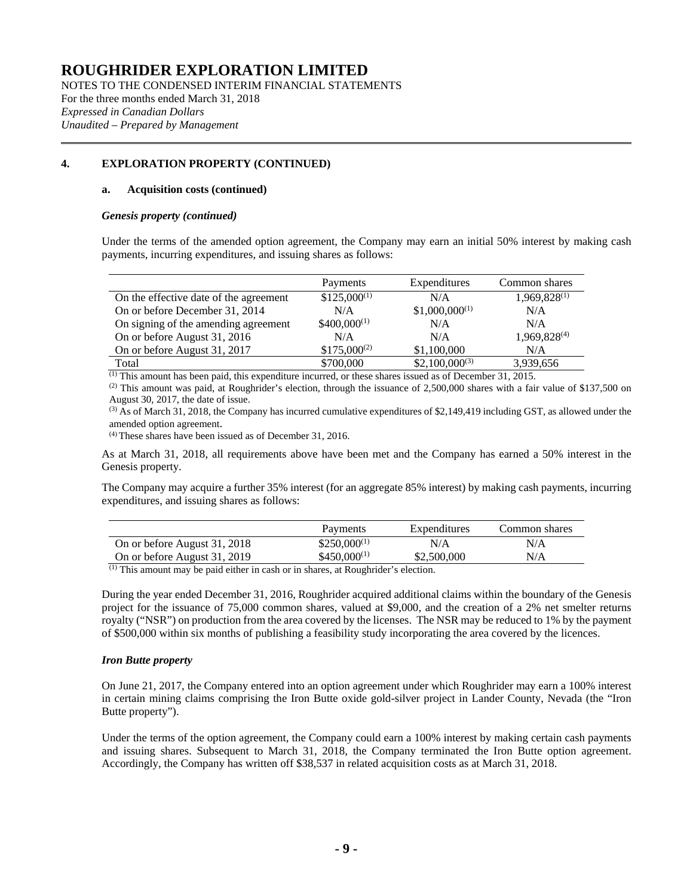NOTES TO THE CONDENSED INTERIM FINANCIAL STATEMENTS For the three months ended March 31, 2018 *Expressed in Canadian Dollars Unaudited – Prepared by Management*

## **[4.](#page-7-0) EXPLORATION PROPERTY (CONTINUED)**

### **a. Acquisition costs (continued)**

#### *Genesis property (continued)*

Under the terms of the amended option agreement, the Company may earn an initial 50% interest by making cash payments, incurring expenditures, and issuing shares as follows:

|                                        | Payments         | Expenditures       | Common shares            |
|----------------------------------------|------------------|--------------------|--------------------------|
| On the effective date of the agreement | $$125,000^{(1)}$ | N/A                | 1,969,828(1)             |
| On or before December 31, 2014         | N/A              | $$1,000,000^{(1)}$ | N/A                      |
| On signing of the amending agreement   | $$400,000^{(1)}$ | N/A                | N/A                      |
| On or before August 31, 2016           | N/A              | N/A                | 1,969,828 <sup>(4)</sup> |
| On or before August 31, 2017           | $$175,000^{(2)}$ | \$1,100,000        | N/A                      |
| Total                                  | \$700,000        | $$2,100,000^{(3)}$ | 3,939,656                |

(1) This amount has been paid, this expenditure incurred, or these shares issued as of December 31, 2015.

 $^{(2)}$  This amount was paid, at Roughrider's election, through the issuance of 2,500,000 shares with a fair value of \$137,500 on August 30, 2017, the date of issue.

 $^{(3)}$  As of March 31, 2018, the Company has incurred cumulative expenditures of \$2,149,419 including GST, as allowed under the amended option agreement.

(4) These shares have been issued as of December 31, 2016.

As at March 31, 2018, all requirements above have been met and the Company has earned a 50% interest in the Genesis property.

The Company may acquire a further 35% interest (for an aggregate 85% interest) by making cash payments, incurring expenditures, and issuing shares as follows:

|                              | Payments          | Expenditures | Common shares |
|------------------------------|-------------------|--------------|---------------|
| On or before August 31, 2018 | $$250,000^{(1)}$  | N/A          | N/A           |
| On or before August 31, 2019 | $$450,000^{(1)}$$ | \$2,500,000  | N/A           |

(1) This amount may be paid either in cash or in shares, at Roughrider's election.

During the year ended December 31, 2016, Roughrider acquired additional claims within the boundary of the Genesis project for the issuance of 75,000 common shares, valued at \$9,000, and the creation of a 2% net smelter returns royalty ("NSR") on production from the area covered by the licenses. The NSR may be reduced to 1% by the payment of \$500,000 within six months of publishing a feasibility study incorporating the area covered by the licences.

## *Iron Butte property*

On June 21, 2017, the Company entered into an option agreement under which Roughrider may earn a 100% interest in certain mining claims comprising the Iron Butte oxide gold-silver project in Lander County, Nevada (the "Iron Butte property").

Under the terms of the option agreement, the Company could earn a 100% interest by making certain cash payments and issuing shares. Subsequent to March 31, 2018, the Company terminated the Iron Butte option agreement. Accordingly, the Company has written off \$38,537 in related acquisition costs as at March 31, 2018.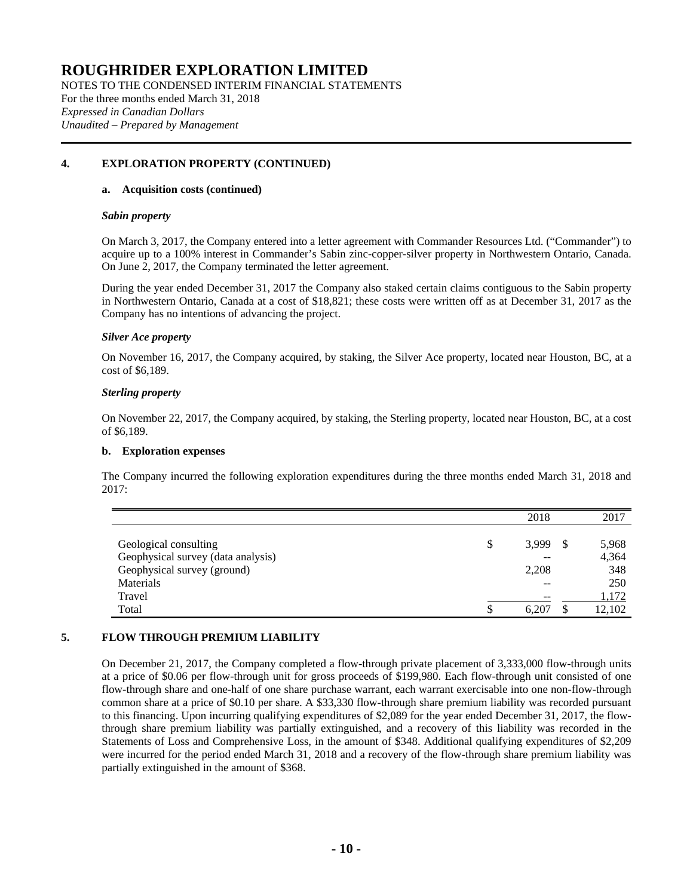NOTES TO THE CONDENSED INTERIM FINANCIAL STATEMENTS For the three months ended March 31, 2018 *Expressed in Canadian Dollars Unaudited – Prepared by Management*

## **[4.](#page-7-0) EXPLORATION PROPERTY (CONTINUED)**

### **a. Acquisition costs (continued)**

#### *Sabin property*

On March 3, 2017, the Company entered into a letter agreement with Commander Resources Ltd. ("Commander") to acquire up to a 100% interest in Commander's Sabin zinc-copper-silver property in Northwestern Ontario, Canada. On June 2, 2017, the Company terminated the letter agreement.

During the year ended December 31, 2017 the Company also staked certain claims contiguous to the Sabin property in Northwestern Ontario, Canada at a cost of \$18,821; these costs were written off as at December 31, 2017 as the Company has no intentions of advancing the project.

#### *Silver Ace property*

On November 16, 2017, the Company acquired, by staking, the Silver Ace property, located near Houston, BC, at a cost of \$6,189.

#### *Sterling property*

On November 22, 2017, the Company acquired, by staking, the Sterling property, located near Houston, BC, at a cost of \$6,189.

#### **b. Exploration expenses**

The Company incurred the following exploration expenditures during the three months ended March 31, 2018 and 2017:

|                                    | 2018        | 2017   |
|------------------------------------|-------------|--------|
|                                    |             |        |
| Geological consulting              | \$<br>3,999 | 5,968  |
| Geophysical survey (data analysis) | --          | 4,364  |
| Geophysical survey (ground)        | 2,208       | 348    |
| Materials                          | --          | 250    |
| Travel                             | $- -$       | 1,172  |
| Total                              | 6.207       | 12,102 |

## **5. FLOW THROUGH PREMIUM LIABILITY**

On December 21, 2017, the Company completed a flow-through private placement of 3,333,000 flow-through units at a price of \$0.06 per flow-through unit for gross proceeds of \$199,980. Each flow-through unit consisted of one flow-through share and one-half of one share purchase warrant, each warrant exercisable into one non-flow-through common share at a price of \$0.10 per share. A \$33,330 flow-through share premium liability was recorded pursuant to this financing. Upon incurring qualifying expenditures of \$2,089 for the year ended December 31, 2017, the flowthrough share premium liability was partially extinguished, and a recovery of this liability was recorded in the Statements of Loss and Comprehensive Loss, in the amount of \$348. Additional qualifying expenditures of \$2,209 were incurred for the period ended March 31, 2018 and a recovery of the flow-through share premium liability was partially extinguished in the amount of \$368.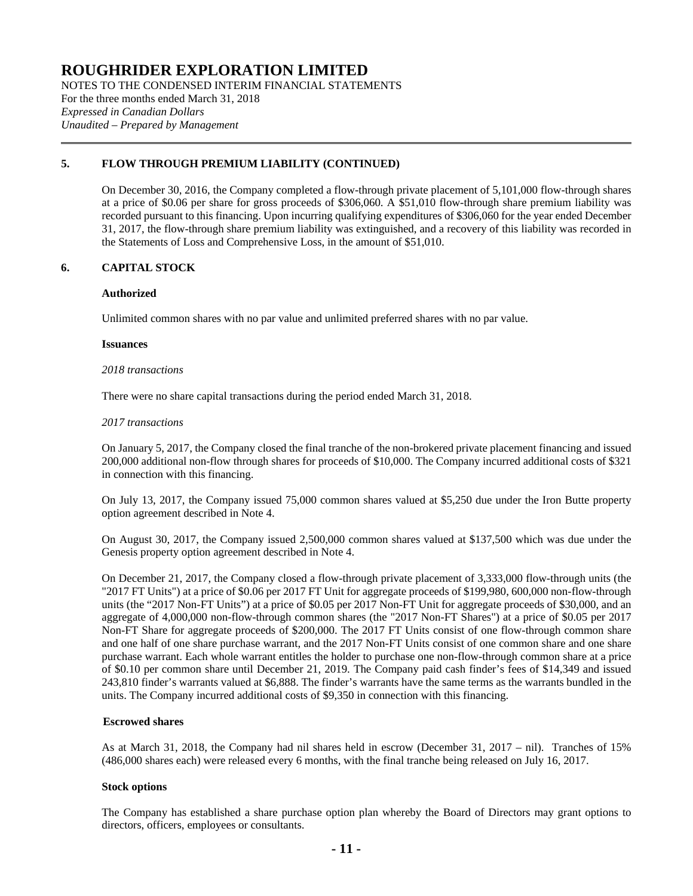NOTES TO THE CONDENSED INTERIM FINANCIAL STATEMENTS For the three months ended March 31, 2018 *Expressed in Canadian Dollars Unaudited – Prepared by Management*

## **5. FLOW THROUGH PREMIUM LIABILITY (CONTINUED)**

On December 30, 2016, the Company completed a flow-through private placement of 5,101,000 flow-through shares at a price of \$0.06 per share for gross proceeds of \$306,060. A \$51,010 flow-through share premium liability was recorded pursuant to this financing. Upon incurring qualifying expenditures of \$306,060 for the year ended December 31, 2017, the flow-through share premium liability was extinguished, and a recovery of this liability was recorded in the Statements of Loss and Comprehensive Loss, in the amount of \$51,010.

## **6. CAPITAL STOCK**

## **Authorized**

Unlimited common shares with no par value and unlimited preferred shares with no par value.

#### **Issuances**

#### *2018 transactions*

There were no share capital transactions during the period ended March 31, 2018.

#### *2017 transactions*

On January 5, 2017, the Company closed the final tranche of the non-brokered private placement financing and issued 200,000 additional non-flow through shares for proceeds of \$10,000. The Company incurred additional costs of \$321 in connection with this financing.

On July 13, 2017, the Company issued 75,000 common shares valued at \$5,250 due under the Iron Butte property option agreement described in Note 4.

On August 30, 2017, the Company issued 2,500,000 common shares valued at \$137,500 which was due under the Genesis property option agreement described in Note 4.

On December 21, 2017, the Company closed a flow-through private placement of 3,333,000 flow-through units (the "2017 FT Units") at a price of \$0.06 per 2017 FT Unit for aggregate proceeds of \$199,980, 600,000 non-flow-through units (the "2017 Non-FT Units") at a price of \$0.05 per 2017 Non-FT Unit for aggregate proceeds of \$30,000, and an aggregate of 4,000,000 non-flow-through common shares (the "2017 Non-FT Shares") at a price of \$0.05 per 2017 Non-FT Share for aggregate proceeds of \$200,000. The 2017 FT Units consist of one flow-through common share and one half of one share purchase warrant, and the 2017 Non-FT Units consist of one common share and one share purchase warrant. Each whole warrant entitles the holder to purchase one non-flow-through common share at a price of \$0.10 per common share until December 21, 2019. The Company paid cash finder's fees of \$14,349 and issued 243,810 finder's warrants valued at \$6,888. The finder's warrants have the same terms as the warrants bundled in the units. The Company incurred additional costs of \$9,350 in connection with this financing.

## **Escrowed shares**

As at March 31, 2018, the Company had nil shares held in escrow (December 31, 2017 – nil). Tranches of 15% (486,000 shares each) were released every 6 months, with the final tranche being released on July 16, 2017.

## **Stock options**

The Company has established a share purchase option plan whereby the Board of Directors may grant options to directors, officers, employees or consultants.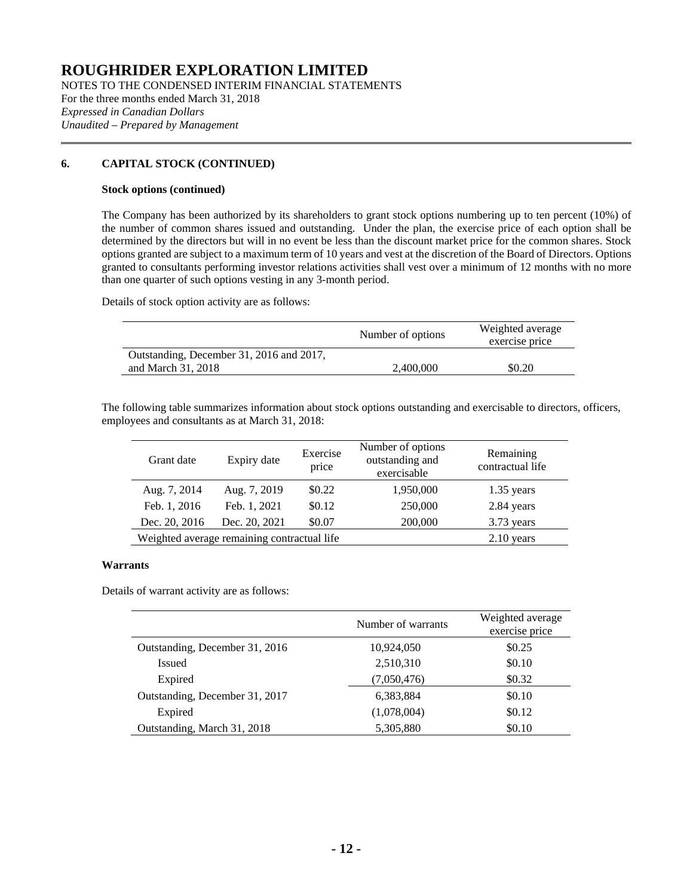NOTES TO THE CONDENSED INTERIM FINANCIAL STATEMENTS For the three months ended March 31, 2018 *Expressed in Canadian Dollars Unaudited – Prepared by Management*

## **6. CAPITAL STOCK (CONTINUED)**

### **Stock options (continued)**

The Company has been authorized by its shareholders to grant stock options numbering up to ten percent (10%) of the number of common shares issued and outstanding. Under the plan, the exercise price of each option shall be determined by the directors but will in no event be less than the discount market price for the common shares. Stock options granted are subject to a maximum term of 10 years and vest at the discretion of the Board of Directors. Options granted to consultants performing investor relations activities shall vest over a minimum of 12 months with no more than one quarter of such options vesting in any 3-month period.

Details of stock option activity are as follows:

|                                          | Number of options | Weighted average<br>exercise price |
|------------------------------------------|-------------------|------------------------------------|
| Outstanding, December 31, 2016 and 2017, |                   |                                    |
| and March 31, 2018                       | 2,400,000         | \$0.20                             |

The following table summarizes information about stock options outstanding and exercisable to directors, officers, employees and consultants as at March 31, 2018:

| Grant date    | Expiry date                                 | Exercise<br>price | Number of options<br>outstanding and<br>exercisable | Remaining<br>contractual life |
|---------------|---------------------------------------------|-------------------|-----------------------------------------------------|-------------------------------|
| Aug. 7, 2014  | Aug. 7, 2019                                | \$0.22            | 1,950,000                                           | $1.35$ years                  |
| Feb. 1, 2016  | Feb. 1, 2021                                | \$0.12            | 250,000                                             | 2.84 years                    |
| Dec. 20, 2016 | Dec. 20, 2021                               | \$0.07            | 200,000                                             | 3.73 years                    |
|               | Weighted average remaining contractual life |                   |                                                     | $2.10$ years                  |

## **Warrants**

Details of warrant activity are as follows:

|                                | Number of warrants | Weighted average<br>exercise price |
|--------------------------------|--------------------|------------------------------------|
| Outstanding, December 31, 2016 | 10,924,050         | \$0.25                             |
| <b>Issued</b>                  | 2,510,310          | \$0.10                             |
| Expired                        | (7,050,476)        | \$0.32                             |
| Outstanding, December 31, 2017 | 6,383,884          | \$0.10                             |
| Expired                        | (1,078,004)        | \$0.12                             |
| Outstanding, March 31, 2018    | 5,305,880          | \$0.10                             |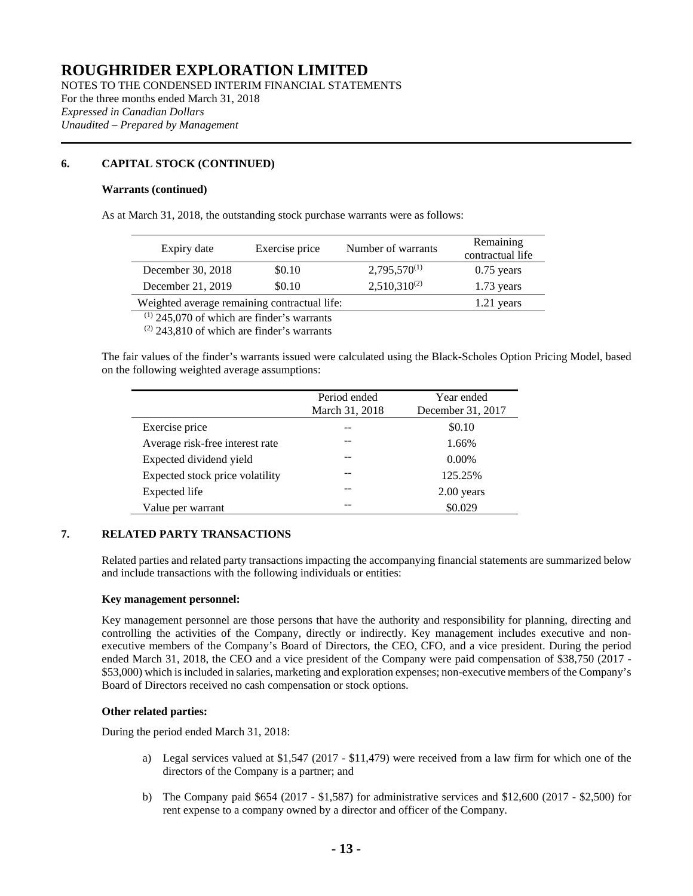NOTES TO THE CONDENSED INTERIM FINANCIAL STATEMENTS For the three months ended March 31, 2018 *Expressed in Canadian Dollars Unaudited – Prepared by Management*

## **6. CAPITAL STOCK (CONTINUED)**

### **Warrants (continued)**

As at March 31, 2018, the outstanding stock purchase warrants were as follows:

| Expiry date                                  | Exercise price | Number of warrants | Remaining<br>contractual life |
|----------------------------------------------|----------------|--------------------|-------------------------------|
| December 30, 2018                            | \$0.10         | $2,795,570^{(1)}$  | $0.75$ years                  |
| December 21, 2019                            | \$0.10         | $2,510,310^{(2)}$  | $1.73$ years                  |
| Weighted average remaining contractual life: |                |                    | 1.21 years                    |

 $(1)$  245,070 of which are finder's warrants

 $(2)$  243,810 of which are finder's warrants

The fair values of the finder's warrants issued were calculated using the Black-Scholes Option Pricing Model, based on the following weighted average assumptions:

|                                 | Period ended<br>March 31, 2018 | Year ended<br>December 31, 2017 |
|---------------------------------|--------------------------------|---------------------------------|
| Exercise price                  |                                | \$0.10                          |
| Average risk-free interest rate |                                | 1.66%                           |
| Expected dividend yield         |                                | $0.00\%$                        |
| Expected stock price volatility |                                | 125.25%                         |
| Expected life                   |                                | $2.00$ years                    |
| Value per warrant               |                                | \$0.029                         |

## **7. RELATED PARTY TRANSACTIONS**

Related parties and related party transactions impacting the accompanying financial statements are summarized below and include transactions with the following individuals or entities:

## **Key management personnel:**

Key management personnel are those persons that have the authority and responsibility for planning, directing and controlling the activities of the Company, directly or indirectly. Key management includes executive and nonexecutive members of the Company's Board of Directors, the CEO, CFO, and a vice president. During the period ended March 31, 2018, the CEO and a vice president of the Company were paid compensation of \$38,750 (2017 - \$53,000) which isincluded in salaries, marketing and exploration expenses; non-executive members of the Company's Board of Directors received no cash compensation or stock options.

## **Other related parties:**

During the period ended March 31, 2018:

- a) Legal services valued at \$1,547 (2017 \$11,479) were received from a law firm for which one of the directors of the Company is a partner; and
- b) The Company paid \$654 (2017 \$1,587) for administrative services and \$12,600 (2017 \$2,500) for rent expense to a company owned by a director and officer of the Company.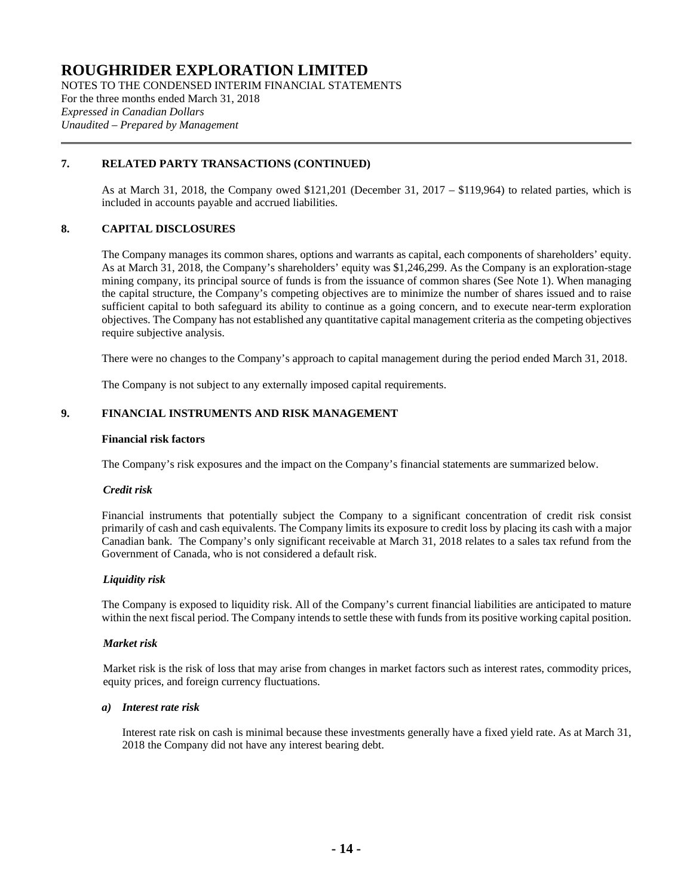NOTES TO THE CONDENSED INTERIM FINANCIAL STATEMENTS For the three months ended March 31, 2018 *Expressed in Canadian Dollars Unaudited – Prepared by Management*

## **7. RELATED PARTY TRANSACTIONS (CONTINUED)**

As at March 31, 2018, the Company owed \$121,201 (December 31, 2017 – \$119,964) to related parties, which is included in accounts payable and accrued liabilities.

## **8. CAPITAL DISCLOSURES**

The Company manages its common shares, options and warrants as capital, each components of shareholders' equity. As at March 31, 2018, the Company's shareholders' equity was \$1,246,299. As the Company is an exploration-stage mining company, its principal source of funds is from the issuance of common shares (See Note 1). When managing the capital structure, the Company's competing objectives are to minimize the number of shares issued and to raise sufficient capital to both safeguard its ability to continue as a going concern, and to execute near-term exploration objectives. The Company has not established any quantitative capital management criteria as the competing objectives require subjective analysis.

There were no changes to the Company's approach to capital management during the period ended March 31, 2018.

The Company is not subject to any externally imposed capital requirements.

## **9. FINANCIAL INSTRUMENTS AND RISK MANAGEMENT**

#### **Financial risk factors**

The Company's risk exposures and the impact on the Company's financial statements are summarized below.

## *Credit risk*

Financial instruments that potentially subject the Company to a significant concentration of credit risk consist primarily of cash and cash equivalents. The Company limits its exposure to credit loss by placing its cash with a major Canadian bank. The Company's only significant receivable at March 31, 2018 relates to a sales tax refund from the Government of Canada, who is not considered a default risk.

## *Liquidity risk*

The Company is exposed to liquidity risk. All of the Company's current financial liabilities are anticipated to mature within the next fiscal period. The Company intends to settle these with funds from its positive working capital position.

## *Market risk*

Market risk is the risk of loss that may arise from changes in market factors such as interest rates, commodity prices, equity prices, and foreign currency fluctuations.

#### *a) Interest rate risk*

Interest rate risk on cash is minimal because these investments generally have a fixed yield rate. As at March 31, 2018 the Company did not have any interest bearing debt.